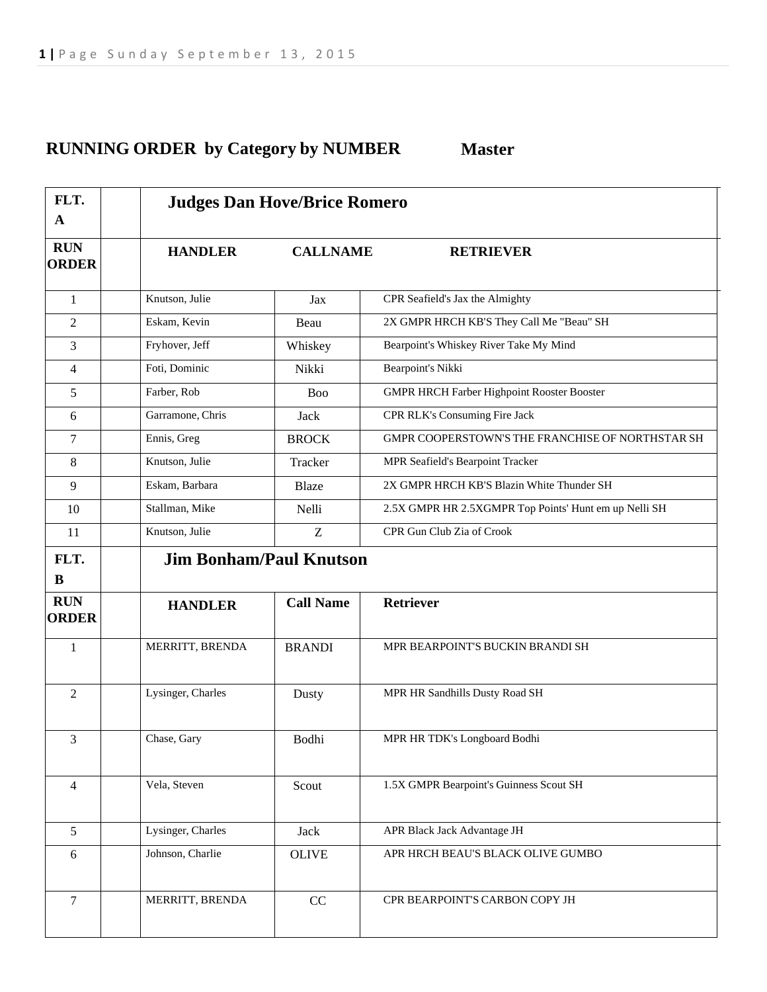## **RUNNING ORDER by Category by NUMBER Master**

| FLT.<br>$\mathbf A$        | <b>Judges Dan Hove/Brice Romero</b> |                  |                                                       |  |
|----------------------------|-------------------------------------|------------------|-------------------------------------------------------|--|
| <b>RUN</b><br><b>ORDER</b> | <b>HANDLER</b><br><b>CALLNAME</b>   |                  | <b>RETRIEVER</b>                                      |  |
| 1                          | Knutson, Julie                      | Jax              | CPR Seafield's Jax the Almighty                       |  |
| 2                          | Eskam, Kevin                        | Beau             | 2X GMPR HRCH KB'S They Call Me "Beau" SH              |  |
| 3                          | Fryhover, Jeff                      | Whiskey          | Bearpoint's Whiskey River Take My Mind                |  |
| 4                          | Foti, Dominic                       | Nikki            | Bearpoint's Nikki                                     |  |
| 5                          | Farber, Rob                         | Boo              | <b>GMPR HRCH Farber Highpoint Rooster Booster</b>     |  |
| 6                          | Garramone, Chris                    | Jack             | CPR RLK's Consuming Fire Jack                         |  |
| 7                          | Ennis, Greg                         | <b>BROCK</b>     | GMPR COOPERSTOWN'S THE FRANCHISE OF NORTHSTAR SH      |  |
| 8                          | Knutson, Julie                      | Tracker          | MPR Seafield's Bearpoint Tracker                      |  |
| 9                          | Eskam, Barbara                      | Blaze            | 2X GMPR HRCH KB'S Blazin White Thunder SH             |  |
| 10                         | Stallman, Mike                      | Nelli            | 2.5X GMPR HR 2.5XGMPR Top Points' Hunt em up Nelli SH |  |
| 11                         | Knutson, Julie                      | Z                | CPR Gun Club Zia of Crook                             |  |
| FLT.                       | <b>Jim Bonham/Paul Knutson</b>      |                  |                                                       |  |
| B                          |                                     |                  |                                                       |  |
| <b>RUN</b><br><b>ORDER</b> | <b>HANDLER</b>                      | <b>Call Name</b> | Retriever                                             |  |
| $\mathbf{1}$               | MERRITT, BRENDA                     | <b>BRANDI</b>    | MPR BEARPOINT'S BUCKIN BRANDI SH                      |  |
| $\overline{2}$             | Lysinger, Charles                   | Dusty            | MPR HR Sandhills Dusty Road SH                        |  |
| 3                          | Chase, Gary                         | Bodhi            | MPR HR TDK's Longboard Bodhi                          |  |
| 4                          | Vela, Steven                        | Scout            | 1.5X GMPR Bearpoint's Guinness Scout SH               |  |
| 5                          | Lysinger, Charles                   | Jack             | APR Black Jack Advantage JH                           |  |
| 6                          | Johnson, Charlie                    | <b>OLIVE</b>     | APR HRCH BEAU'S BLACK OLIVE GUMBO                     |  |
| $\overline{7}$             | MERRITT, BRENDA                     | CC               | CPR BEARPOINT'S CARBON COPY JH                        |  |